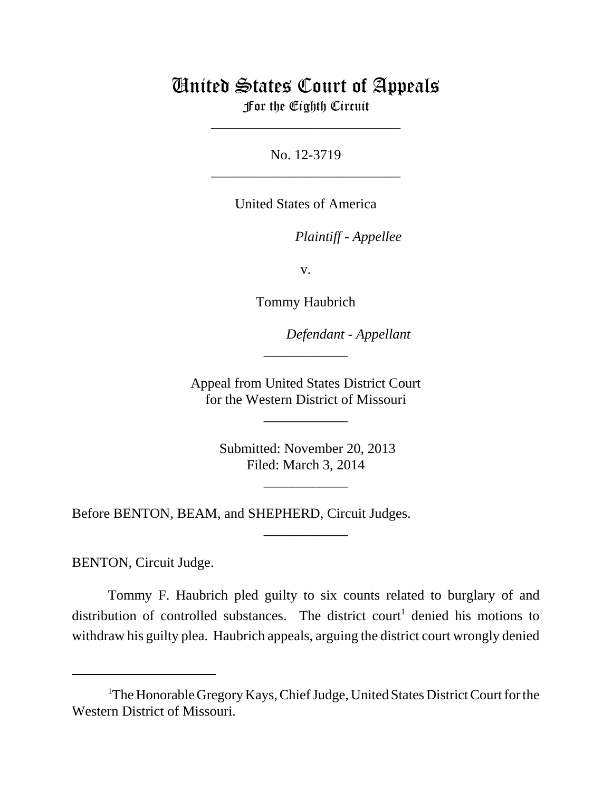## United States Court of Appeals For the Eighth Circuit

\_\_\_\_\_\_\_\_\_\_\_\_\_\_\_\_\_\_\_\_\_\_\_\_\_\_\_

No. 12-3719 \_\_\_\_\_\_\_\_\_\_\_\_\_\_\_\_\_\_\_\_\_\_\_\_\_\_\_

United States of America

*Plaintiff - Appellee* 

v.

Tommy Haubrich

lllllllllllllllllllll *Defendant - Appellant*

 Appeal from United States District Court for the Western District of Missouri

\_\_\_\_\_\_\_\_\_\_\_\_

\_\_\_\_\_\_\_\_\_\_\_\_

 Submitted: November 20, 2013 Filed: March 3, 2014

\_\_\_\_\_\_\_\_\_\_\_\_

\_\_\_\_\_\_\_\_\_\_\_\_

Before BENTON, BEAM, and SHEPHERD, Circuit Judges.

BENTON, Circuit Judge.

Tommy F. Haubrich pled guilty to six counts related to burglary of and distribution of controlled substances. The district court<sup>1</sup> denied his motions to withdraw his guilty plea. Haubrich appeals, arguing the district court wrongly denied

<sup>&</sup>lt;sup>1</sup>The Honorable Gregory Kays, Chief Judge, United States District Court for the Western District of Missouri.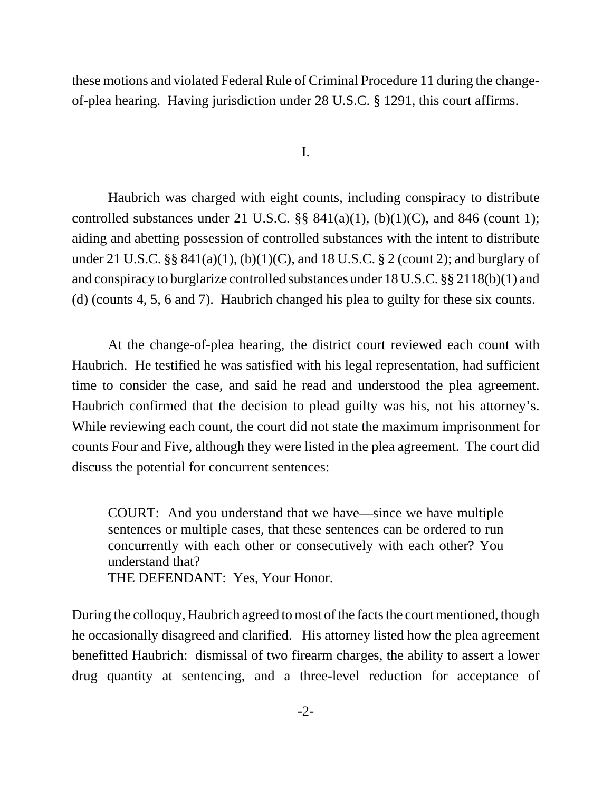these motions and violated Federal Rule of Criminal Procedure 11 during the changeof-plea hearing. Having jurisdiction under 28 U.S.C. § 1291, this court affirms.

I.

Haubrich was charged with eight counts, including conspiracy to distribute controlled substances under 21 U.S.C.  $\S$ § 841(a)(1), (b)(1)(C), and 846 (count 1); aiding and abetting possession of controlled substances with the intent to distribute under 21 U.S.C. §§ 841(a)(1), (b)(1)(C), and 18 U.S.C. § 2 (count 2); and burglary of and conspiracy to burglarize controlled substances under 18 U.S.C. §§ 2118(b)(1) and (d) (counts 4, 5, 6 and 7). Haubrich changed his plea to guilty for these six counts.

At the change-of-plea hearing, the district court reviewed each count with Haubrich. He testified he was satisfied with his legal representation, had sufficient time to consider the case, and said he read and understood the plea agreement. Haubrich confirmed that the decision to plead guilty was his, not his attorney's. While reviewing each count, the court did not state the maximum imprisonment for counts Four and Five, although they were listed in the plea agreement. The court did discuss the potential for concurrent sentences:

COURT: And you understand that we have—since we have multiple sentences or multiple cases, that these sentences can be ordered to run concurrently with each other or consecutively with each other? You understand that?

THE DEFENDANT: Yes, Your Honor.

During the colloquy, Haubrich agreed to most of the facts the court mentioned, though he occasionally disagreed and clarified. His attorney listed how the plea agreement benefitted Haubrich: dismissal of two firearm charges, the ability to assert a lower drug quantity at sentencing, and a three-level reduction for acceptance of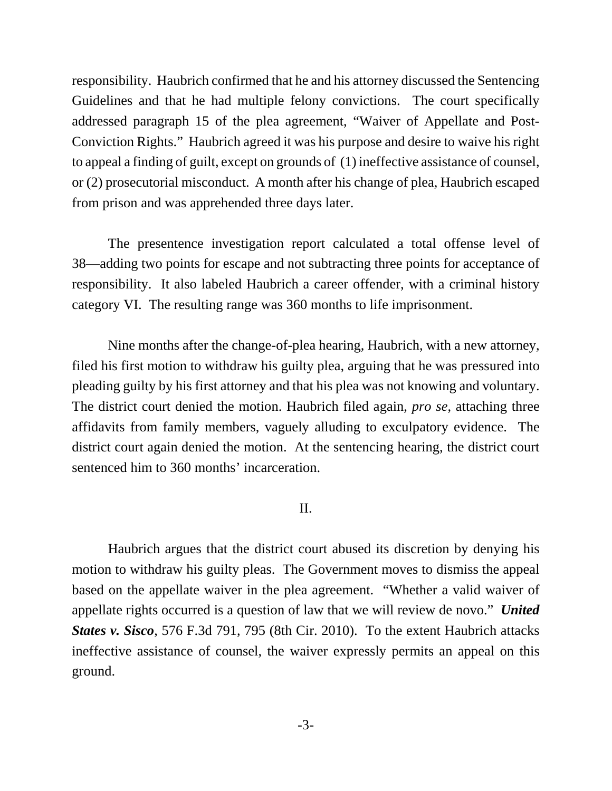responsibility. Haubrich confirmed that he and his attorney discussed the Sentencing Guidelines and that he had multiple felony convictions. The court specifically addressed paragraph 15 of the plea agreement, "Waiver of Appellate and Post-Conviction Rights." Haubrich agreed it was his purpose and desire to waive his right to appeal a finding of guilt, except on grounds of (1) ineffective assistance of counsel, or (2) prosecutorial misconduct. A month after his change of plea, Haubrich escaped from prison and was apprehended three days later.

The presentence investigation report calculated a total offense level of 38—adding two points for escape and not subtracting three points for acceptance of responsibility. It also labeled Haubrich a career offender, with a criminal history category VI. The resulting range was 360 months to life imprisonment.

Nine months after the change-of-plea hearing, Haubrich, with a new attorney, filed his first motion to withdraw his guilty plea, arguing that he was pressured into pleading guilty by his first attorney and that his plea was not knowing and voluntary. The district court denied the motion. Haubrich filed again, *pro se*, attaching three affidavits from family members, vaguely alluding to exculpatory evidence. The district court again denied the motion. At the sentencing hearing, the district court sentenced him to 360 months' incarceration.

## II.

Haubrich argues that the district court abused its discretion by denying his motion to withdraw his guilty pleas. The Government moves to dismiss the appeal based on the appellate waiver in the plea agreement. "Whether a valid waiver of appellate rights occurred is a question of law that we will review de novo." *United States v. Sisco*, 576 F.3d 791, 795 (8th Cir. 2010). To the extent Haubrich attacks ineffective assistance of counsel, the waiver expressly permits an appeal on this ground.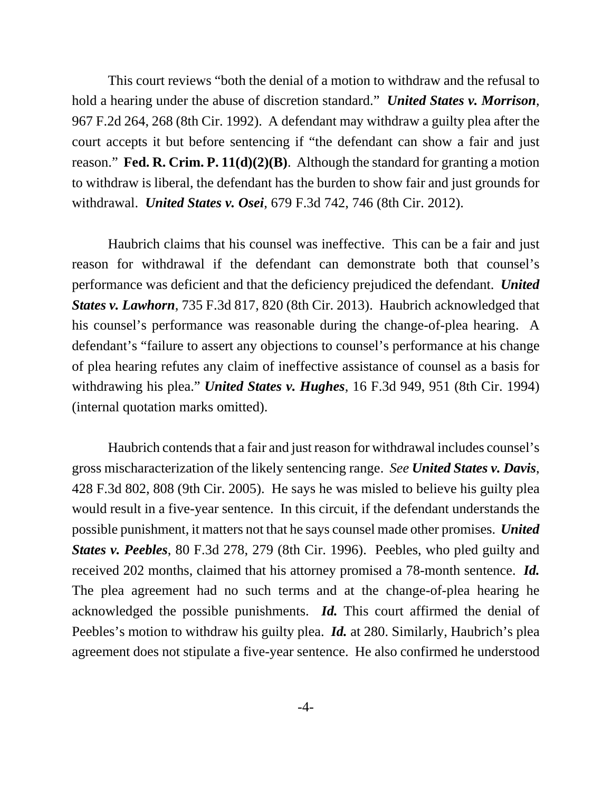This court reviews "both the denial of a motion to withdraw and the refusal to hold a hearing under the abuse of discretion standard." *United States v. Morrison*, 967 F.2d 264, 268 (8th Cir. 1992). A defendant may withdraw a guilty plea after the court accepts it but before sentencing if "the defendant can show a fair and just reason." **Fed. R. Crim. P. 11(d)(2)(B)**. Although the standard for granting a motion to withdraw is liberal, the defendant has the burden to show fair and just grounds for withdrawal. *United States v. Osei*, 679 F.3d 742, 746 (8th Cir. 2012).

Haubrich claims that his counsel was ineffective. This can be a fair and just reason for withdrawal if the defendant can demonstrate both that counsel's performance was deficient and that the deficiency prejudiced the defendant. *United States v. Lawhorn*, 735 F.3d 817, 820 (8th Cir. 2013). Haubrich acknowledged that his counsel's performance was reasonable during the change-of-plea hearing. A defendant's "failure to assert any objections to counsel's performance at his change of plea hearing refutes any claim of ineffective assistance of counsel as a basis for withdrawing his plea." *United States v. Hughes*, 16 F.3d 949, 951 (8th Cir. 1994) (internal quotation marks omitted).

Haubrich contends that a fair and just reason for withdrawal includes counsel's gross mischaracterization of the likely sentencing range. *See United States v. Davis*, 428 F.3d 802, 808 (9th Cir. 2005). He says he was misled to believe his guilty plea would result in a five-year sentence. In this circuit, if the defendant understands the possible punishment, it matters not that he says counsel made other promises. *United States v. Peebles*, 80 F.3d 278, 279 (8th Cir. 1996). Peebles, who pled guilty and received 202 months, claimed that his attorney promised a 78-month sentence. *Id.* The plea agreement had no such terms and at the change-of-plea hearing he acknowledged the possible punishments. *Id.* This court affirmed the denial of Peebles's motion to withdraw his guilty plea. *Id.* at 280. Similarly, Haubrich's plea agreement does not stipulate a five-year sentence. He also confirmed he understood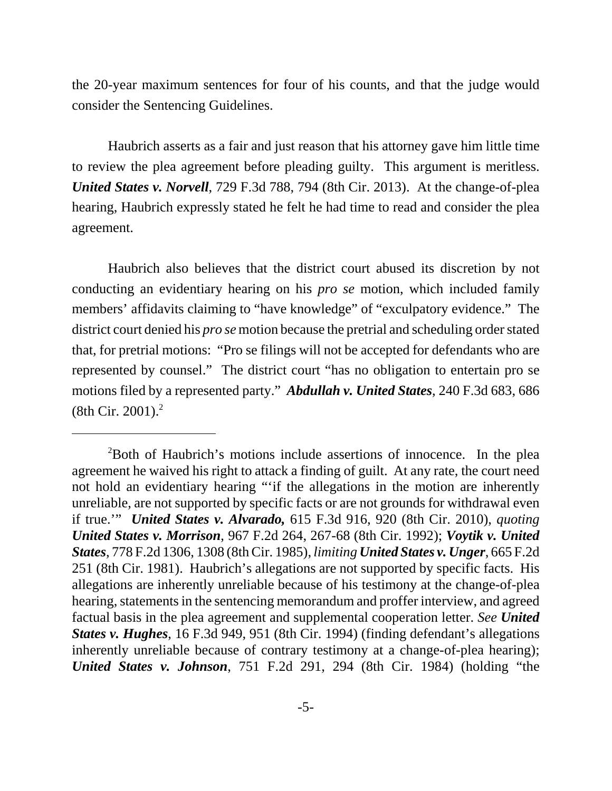the 20-year maximum sentences for four of his counts, and that the judge would consider the Sentencing Guidelines.

Haubrich asserts as a fair and just reason that his attorney gave him little time to review the plea agreement before pleading guilty. This argument is meritless. *United States v. Norvell*, 729 F.3d 788, 794 (8th Cir. 2013). At the change-of-plea hearing, Haubrich expressly stated he felt he had time to read and consider the plea agreement.

Haubrich also believes that the district court abused its discretion by not conducting an evidentiary hearing on his *pro se* motion, which included family members' affidavits claiming to "have knowledge" of "exculpatory evidence." The district court denied his *pro se* motion because the pretrial and scheduling order stated that, for pretrial motions: "Pro se filings will not be accepted for defendants who are represented by counsel." The district court "has no obligation to entertain pro se motions filed by a represented party." *Abdullah v. United States*, 240 F.3d 683, 686  $(8th Cir. 2001).<sup>2</sup>$ 

<sup>&</sup>lt;sup>2</sup>Both of Haubrich's motions include assertions of innocence. In the plea agreement he waived his right to attack a finding of guilt. At any rate, the court need not hold an evidentiary hearing "'if the allegations in the motion are inherently unreliable, are not supported by specific facts or are not grounds for withdrawal even if true.'" *United States v. Alvarado,* 615 F.3d 916, 920 (8th Cir. 2010), *quoting United States v. Morrison*, 967 F.2d 264, 267-68 (8th Cir. 1992); *Voytik v. United States*, 778 F.2d 1306, 1308 (8th Cir. 1985), *limiting United States v. Unger*, 665 F.2d 251 (8th Cir. 1981). Haubrich's allegations are not supported by specific facts. His allegations are inherently unreliable because of his testimony at the change-of-plea hearing, statements in the sentencing memorandum and proffer interview, and agreed factual basis in the plea agreement and supplemental cooperation letter. *See United States v. Hughes*, 16 F.3d 949, 951 (8th Cir. 1994) (finding defendant's allegations inherently unreliable because of contrary testimony at a change-of-plea hearing); *United States v. Johnson*, 751 F.2d 291, 294 (8th Cir. 1984) (holding "the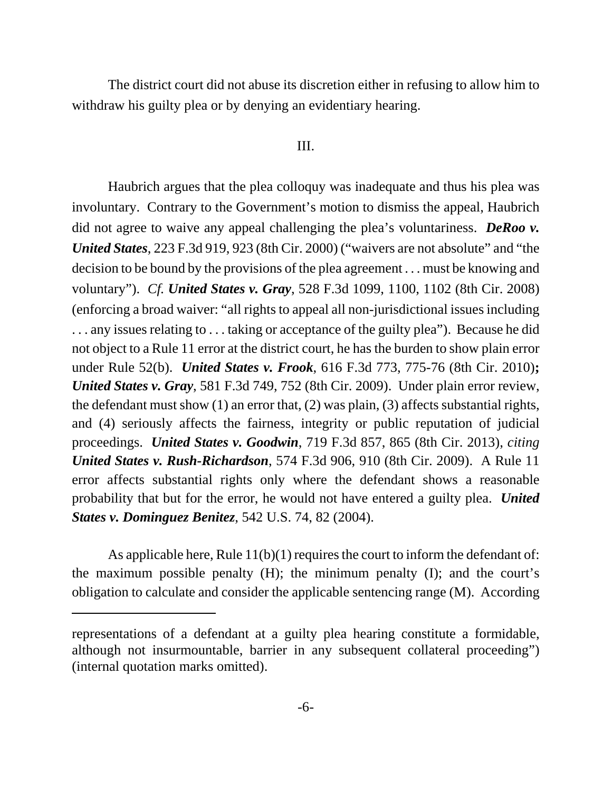The district court did not abuse its discretion either in refusing to allow him to withdraw his guilty plea or by denying an evidentiary hearing.

## III.

Haubrich argues that the plea colloquy was inadequate and thus his plea was involuntary. Contrary to the Government's motion to dismiss the appeal, Haubrich did not agree to waive any appeal challenging the plea's voluntariness. *DeRoo v. United States*, 223 F.3d 919, 923 (8th Cir. 2000) ("waivers are not absolute" and "the decision to be bound by the provisions of the plea agreement . . . must be knowing and voluntary"). *Cf. United States v. Gray*, 528 F.3d 1099, 1100, 1102 (8th Cir. 2008) (enforcing a broad waiver: "all rights to appeal all non-jurisdictional issues including ... any issues relating to ... taking or acceptance of the guilty plea"). Because he did not object to a Rule 11 error at the district court, he has the burden to show plain error under Rule 52(b). *United States v. Frook*, 616 F.3d 773, 775-76 (8th Cir. 2010)**;** *United States v. Gray*, 581 F.3d 749, 752 (8th Cir. 2009). Under plain error review, the defendant must show (1) an error that, (2) was plain, (3) affects substantial rights, and (4) seriously affects the fairness, integrity or public reputation of judicial proceedings. *United States v. Goodwin*, 719 F.3d 857, 865 (8th Cir. 2013), *citing United States v. Rush-Richardson*, 574 F.3d 906, 910 (8th Cir. 2009). A Rule 11 error affects substantial rights only where the defendant shows a reasonable probability that but for the error, he would not have entered a guilty plea. *United States v. Dominguez Benitez*, 542 U.S. 74, 82 (2004).

As applicable here, Rule  $11(b)(1)$  requires the court to inform the defendant of: the maximum possible penalty (H); the minimum penalty (I); and the court's obligation to calculate and consider the applicable sentencing range (M). According

representations of a defendant at a guilty plea hearing constitute a formidable, although not insurmountable, barrier in any subsequent collateral proceeding") (internal quotation marks omitted).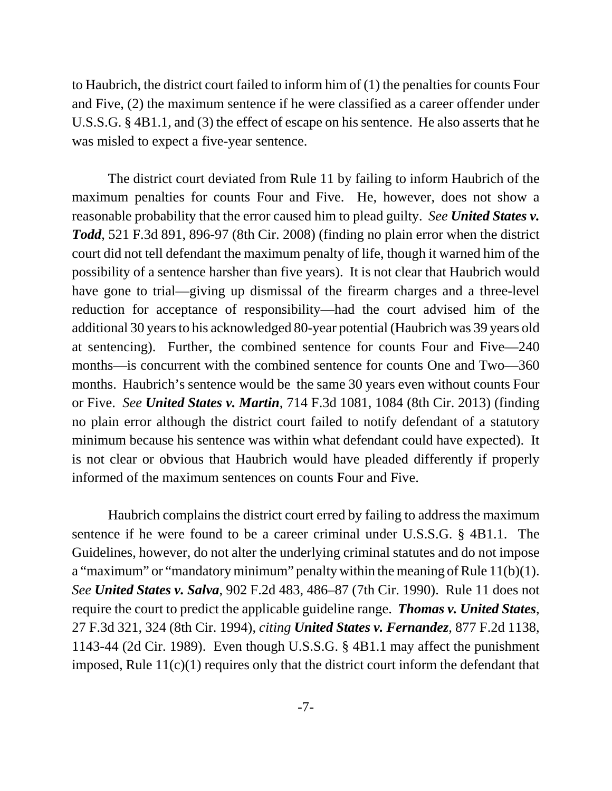to Haubrich, the district court failed to inform him of (1) the penalties for counts Four and Five, (2) the maximum sentence if he were classified as a career offender under U.S.S.G. § 4B1.1, and (3) the effect of escape on his sentence. He also asserts that he was misled to expect a five-year sentence.

The district court deviated from Rule 11 by failing to inform Haubrich of the maximum penalties for counts Four and Five. He, however, does not show a reasonable probability that the error caused him to plead guilty. *See United States v. Todd*, 521 F.3d 891, 896-97 (8th Cir. 2008) (finding no plain error when the district court did not tell defendant the maximum penalty of life, though it warned him of the possibility of a sentence harsher than five years). It is not clear that Haubrich would have gone to trial—giving up dismissal of the firearm charges and a three-level reduction for acceptance of responsibility—had the court advised him of the additional 30 years to his acknowledged 80-year potential (Haubrich was 39 years old at sentencing). Further, the combined sentence for counts Four and Five—240 months—is concurrent with the combined sentence for counts One and Two—360 months. Haubrich's sentence would be the same 30 years even without counts Four or Five. *See United States v. Martin*, 714 F.3d 1081, 1084 (8th Cir. 2013) (finding no plain error although the district court failed to notify defendant of a statutory minimum because his sentence was within what defendant could have expected). It is not clear or obvious that Haubrich would have pleaded differently if properly informed of the maximum sentences on counts Four and Five.

Haubrich complains the district court erred by failing to address the maximum sentence if he were found to be a career criminal under U.S.S.G. § 4B1.1. The Guidelines, however, do not alter the underlying criminal statutes and do not impose a "maximum" or "mandatory minimum" penalty within the meaning of Rule  $11(b)(1)$ . *See United States v. Salva*, 902 F.2d 483, 486–87 (7th Cir. 1990). Rule 11 does not require the court to predict the applicable guideline range. *Thomas v. United States*, 27 F.3d 321, 324 (8th Cir. 1994), *citing United States v. Fernandez*, 877 F.2d 1138, 1143-44 (2d Cir. 1989). Even though U.S.S.G. § 4B1.1 may affect the punishment imposed, Rule  $11(c)(1)$  requires only that the district court inform the defendant that